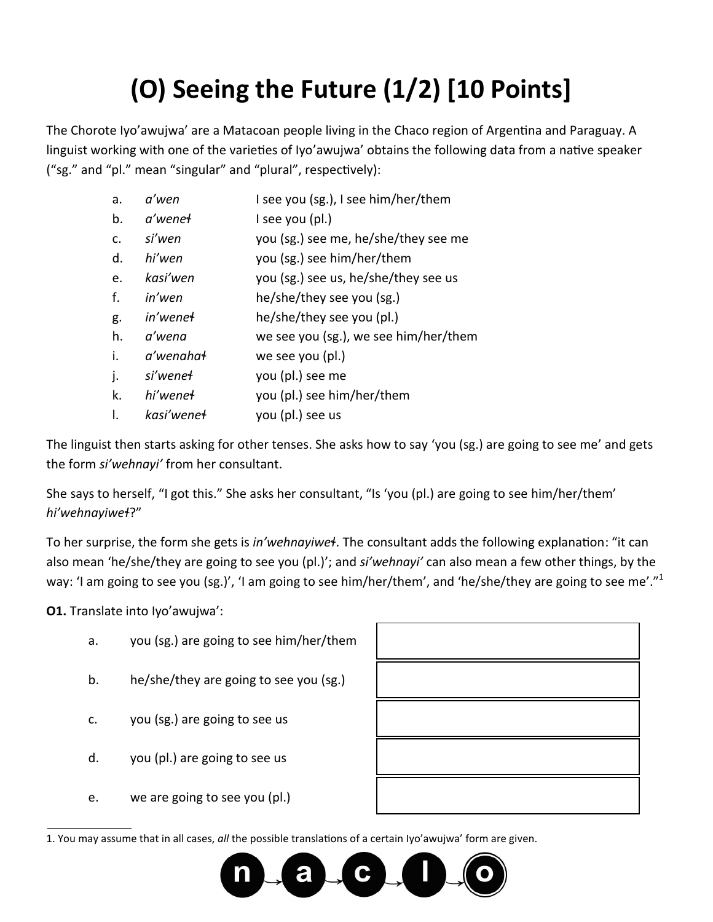## **(O) Seeing the Future (1/2) [10 Points]**

The Chorote Iyo'awujwa' are a Matacoan people living in the Chaco region of Argentina and Paraguay. A linguist working with one of the varieties of Iyo'awujwa' obtains the following data from a native speaker ("sg." and "pl." mean "singular" and "plural", respectively):

| a.             | a'wen                  | I see you (sg.), I see him/her/them   |
|----------------|------------------------|---------------------------------------|
| b.             | a'wenet                | I see you (pl.)                       |
| C <sub>1</sub> | si'wen                 | you (sg.) see me, he/she/they see me  |
| d.             | hi′wen                 | you (sg.) see him/her/them            |
| e.             | kasi'wen               | you (sg.) see us, he/she/they see us  |
| f.             | in'wen                 | he/she/they see you (sg.)             |
| g.             | in'wene <del>l</del>   | he/she/they see you (pl.)             |
| h.             | a'wena                 | we see you (sg.), we see him/her/them |
| i.             | a'wenahat              | we see you (pl.)                      |
| j.             | si'wene <del>l</del>   | you (pl.) see me                      |
| k.             | hi'wene <del>l</del>   | you (pl.) see him/her/them            |
| Ι.             | kasi'wene <del>l</del> | you (pl.) see us                      |

The linguist then starts asking for other tenses. She asks how to say 'you (sg.) are going to see me' and gets the form *si'wehnayi'* from her consultant.

She says to herself, "I got this." She asks her consultant, "Is 'you (pl.) are going to see him/her/them' *hi'wehnayiweɬ*?"

To her surprise, the form she gets is *in'wehnayiweɬ*. The consultant adds the following explanation: "it can also mean 'he/she/they are going to see you (pl.)'; and *si'wehnayi'* can also mean a few other things, by the way: 'I am going to see you (sg.)', 'I am going to see him/her/them', and 'he/she/they are going to see me'."<sup>1</sup>

**O1.** Translate into Iyo'awujwa':

- a. you (sg.) are going to see him/her/them
- b. he/she/they are going to see you (sg.)
- c. you (sg.) are going to see us
- d. you (pl.) are going to see us
- e. we are going to see you (pl.)

1. You may assume that in all cases, *all* the possible translations of a certain Iyo'awujwa' form are given.